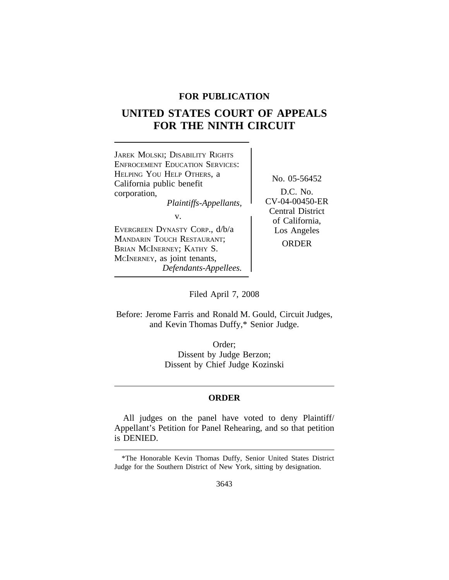# **FOR PUBLICATION**

# **UNITED STATES COURT OF APPEALS FOR THE NINTH CIRCUIT**



Filed April 7, 2008

Before: Jerome Farris and Ronald M. Gould, Circuit Judges, and Kevin Thomas Duffy,\* Senior Judge.

> Order; Dissent by Judge Berzon; Dissent by Chief Judge Kozinski

## **ORDER**

All judges on the panel have voted to deny Plaintiff/ Appellant's Petition for Panel Rehearing, and so that petition is DENIED.

<sup>\*</sup>The Honorable Kevin Thomas Duffy, Senior United States District Judge for the Southern District of New York, sitting by designation.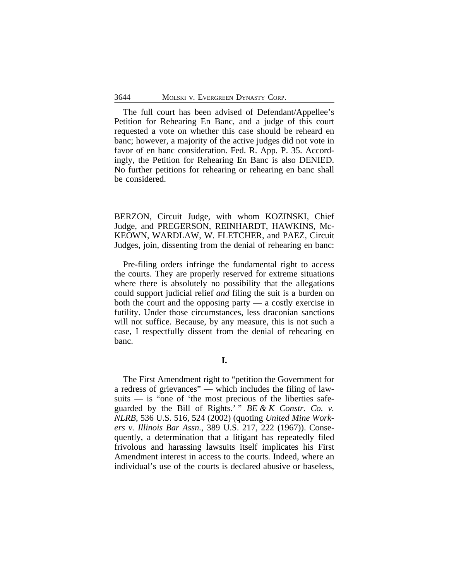The full court has been advised of Defendant/Appellee's Petition for Rehearing En Banc, and a judge of this court requested a vote on whether this case should be reheard en banc; however, a majority of the active judges did not vote in favor of en banc consideration. Fed. R. App. P. 35. Accordingly, the Petition for Rehearing En Banc is also DENIED. No further petitions for rehearing or rehearing en banc shall be considered.

BERZON, Circuit Judge, with whom KOZINSKI, Chief Judge, and PREGERSON, REINHARDT, HAWKINS, Mc-KEOWN, WARDLAW, W. FLETCHER, and PAEZ, Circuit Judges, join, dissenting from the denial of rehearing en banc:

Pre-filing orders infringe the fundamental right to access the courts. They are properly reserved for extreme situations where there is absolutely no possibility that the allegations could support judicial relief *and* filing the suit is a burden on both the court and the opposing party — a costly exercise in futility. Under those circumstances, less draconian sanctions will not suffice. Because, by any measure, this is not such a case, I respectfully dissent from the denial of rehearing en banc.

**I.**

The First Amendment right to "petition the Government for a redress of grievances" — which includes the filing of lawsuits — is "one of 'the most precious of the liberties safeguarded by the Bill of Rights.' " *BE & K Constr. Co. v. NLRB*, 536 U.S. 516, 524 (2002) (quoting *United Mine Workers v. Illinois Bar Assn.*, 389 U.S. 217, 222 (1967)). Consequently, a determination that a litigant has repeatedly filed frivolous and harassing lawsuits itself implicates his First Amendment interest in access to the courts. Indeed, where an individual's use of the courts is declared abusive or baseless,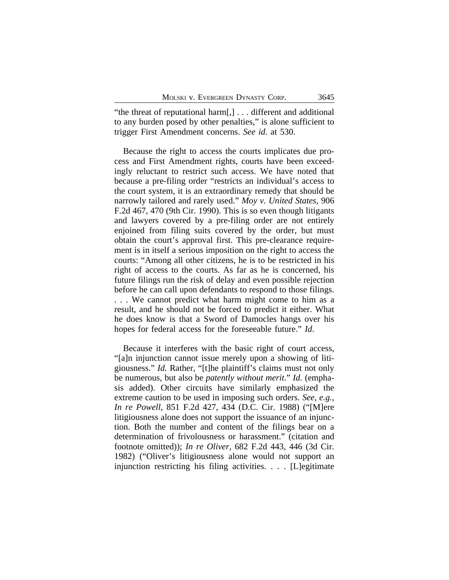"the threat of reputational harm[,] . . . different and additional to any burden posed by other penalties," is alone sufficient to trigger First Amendment concerns. *See id.* at 530.

Because the right to access the courts implicates due process and First Amendment rights, courts have been exceedingly reluctant to restrict such access. We have noted that because a pre-filing order "restricts an individual's access to the court system, it is an extraordinary remedy that should be narrowly tailored and rarely used." *Moy v. United States*, 906 F.2d 467, 470 (9th Cir. 1990). This is so even though litigants and lawyers covered by a pre-filing order are not entirely enjoined from filing suits covered by the order, but must obtain the court's approval first. This pre-clearance requirement is in itself a serious imposition on the right to access the courts: "Among all other citizens, he is to be restricted in his right of access to the courts. As far as he is concerned, his future filings run the risk of delay and even possible rejection before he can call upon defendants to respond to those filings. . . . We cannot predict what harm might come to him as a result, and he should not be forced to predict it either. What he does know is that a Sword of Damocles hangs over his hopes for federal access for the foreseeable future." *Id*.

Because it interferes with the basic right of court access, "[a]n injunction cannot issue merely upon a showing of litigiousness." *Id.* Rather, "[t]he plaintiff's claims must not only be numerous, but also be *patently without merit*." *Id.* (emphasis added). Other circuits have similarly emphasized the extreme caution to be used in imposing such orders. *See, e.g.*, *In re Powell*, 851 F.2d 427, 434 (D.C. Cir. 1988) ("[M]ere litigiousness alone does not support the issuance of an injunction. Both the number and content of the filings bear on a determination of frivolousness or harassment." (citation and footnote omitted)); *In re Oliver*, 682 F.2d 443, 446 (3d Cir. 1982) ("Oliver's litigiousness alone would not support an injunction restricting his filing activities. . . . [L]egitimate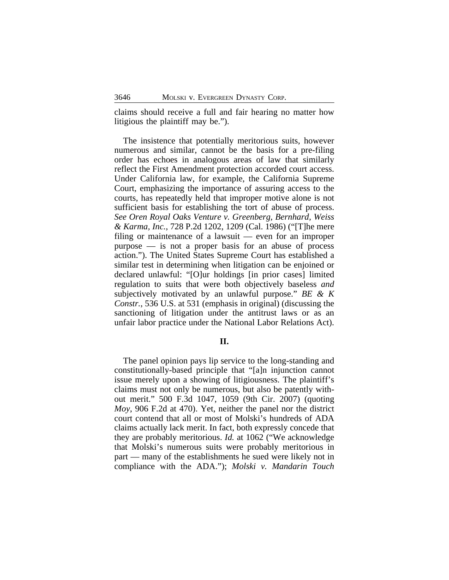claims should receive a full and fair hearing no matter how litigious the plaintiff may be.").

The insistence that potentially meritorious suits, however numerous and similar, cannot be the basis for a pre-filing order has echoes in analogous areas of law that similarly reflect the First Amendment protection accorded court access. Under California law, for example, the California Supreme Court, emphasizing the importance of assuring access to the courts, has repeatedly held that improper motive alone is not sufficient basis for establishing the tort of abuse of process. *See Oren Royal Oaks Venture v. Greenberg, Bernhard, Weiss & Karma, Inc.*, 728 P.2d 1202, 1209 (Cal. 1986) ("[T]he mere filing or maintenance of a lawsuit — even for an improper purpose — is not a proper basis for an abuse of process action."). The United States Supreme Court has established a similar test in determining when litigation can be enjoined or declared unlawful: "[O]ur holdings [in prior cases] limited regulation to suits that were both objectively baseless *and* subjectively motivated by an unlawful purpose." *BE & K Constr.*, 536 U.S. at 531 (emphasis in original) (discussing the sanctioning of litigation under the antitrust laws or as an unfair labor practice under the National Labor Relations Act).

#### **II.**

The panel opinion pays lip service to the long-standing and constitutionally-based principle that "[a]n injunction cannot issue merely upon a showing of litigiousness. The plaintiff's claims must not only be numerous, but also be patently without merit." 500 F.3d 1047, 1059 (9th Cir. 2007) (quoting *Moy*, 906 F.2d at 470). Yet, neither the panel nor the district court contend that all or most of Molski's hundreds of ADA claims actually lack merit. In fact, both expressly concede that they are probably meritorious. *Id.* at 1062 ("We acknowledge that Molski's numerous suits were probably meritorious in part — many of the establishments he sued were likely not in compliance with the ADA."); *Molski v. Mandarin Touch*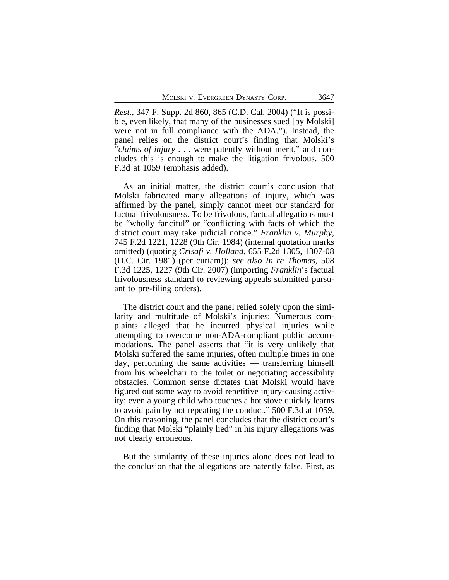*Rest.*, 347 F. Supp. 2d 860, 865 (C.D. Cal. 2004) ("It is possible, even likely, that many of the businesses sued [by Molski] were not in full compliance with the ADA."). Instead, the panel relies on the district court's finding that Molski's "*claims of injury* . . . were patently without merit," and concludes this is enough to make the litigation frivolous. 500 F.3d at 1059 (emphasis added).

As an initial matter, the district court's conclusion that Molski fabricated many allegations of injury, which was affirmed by the panel, simply cannot meet our standard for factual frivolousness. To be frivolous, factual allegations must be "wholly fanciful" or "conflicting with facts of which the district court may take judicial notice." *Franklin v. Murphy*, 745 F.2d 1221, 1228 (9th Cir. 1984) (internal quotation marks omitted) (quoting *Crisafi v. Holland*, 655 F.2d 1305, 1307-08 (D.C. Cir. 1981) (per curiam)); *see also In re Thomas*, 508 F.3d 1225, 1227 (9th Cir. 2007) (importing *Franklin*'s factual frivolousness standard to reviewing appeals submitted pursuant to pre-filing orders).

The district court and the panel relied solely upon the similarity and multitude of Molski's injuries: Numerous complaints alleged that he incurred physical injuries while attempting to overcome non-ADA-compliant public accommodations. The panel asserts that "it is very unlikely that Molski suffered the same injuries, often multiple times in one day, performing the same activities — transferring himself from his wheelchair to the toilet or negotiating accessibility obstacles. Common sense dictates that Molski would have figured out some way to avoid repetitive injury-causing activity; even a young child who touches a hot stove quickly learns to avoid pain by not repeating the conduct." 500 F.3d at 1059. On this reasoning, the panel concludes that the district court's finding that Molski "plainly lied" in his injury allegations was not clearly erroneous.

But the similarity of these injuries alone does not lead to the conclusion that the allegations are patently false. First, as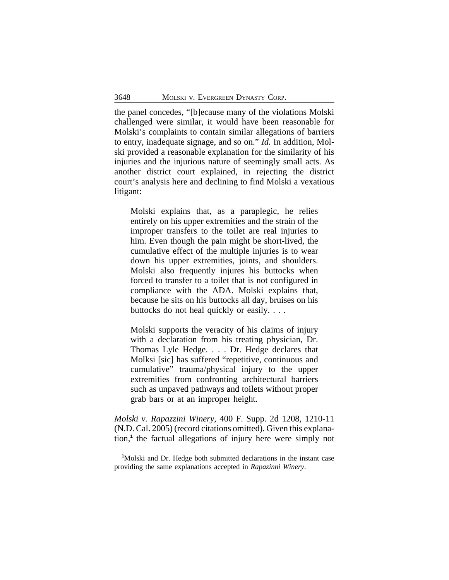the panel concedes, "[b]ecause many of the violations Molski challenged were similar, it would have been reasonable for Molski's complaints to contain similar allegations of barriers to entry, inadequate signage, and so on." *Id.* In addition, Molski provided a reasonable explanation for the similarity of his injuries and the injurious nature of seemingly small acts. As another district court explained, in rejecting the district court's analysis here and declining to find Molski a vexatious litigant:

Molski explains that, as a paraplegic, he relies entirely on his upper extremities and the strain of the improper transfers to the toilet are real injuries to him. Even though the pain might be short-lived, the cumulative effect of the multiple injuries is to wear down his upper extremities, joints, and shoulders. Molski also frequently injures his buttocks when forced to transfer to a toilet that is not configured in compliance with the ADA. Molski explains that, because he sits on his buttocks all day, bruises on his buttocks do not heal quickly or easily. . . .

Molski supports the veracity of his claims of injury with a declaration from his treating physician, Dr. Thomas Lyle Hedge. . . . Dr. Hedge declares that Molksi [sic] has suffered "repetitive, continuous and cumulative" trauma/physical injury to the upper extremities from confronting architectural barriers such as unpaved pathways and toilets without proper grab bars or at an improper height.

*Molski v. Rapazzini Winery*, 400 F. Supp. 2d 1208, 1210-11 (N.D. Cal. 2005) (record citations omitted). Given this explanation,**<sup>1</sup>** the factual allegations of injury here were simply not

**<sup>1</sup>**Molski and Dr. Hedge both submitted declarations in the instant case providing the same explanations accepted in *Rapazinni Winery*.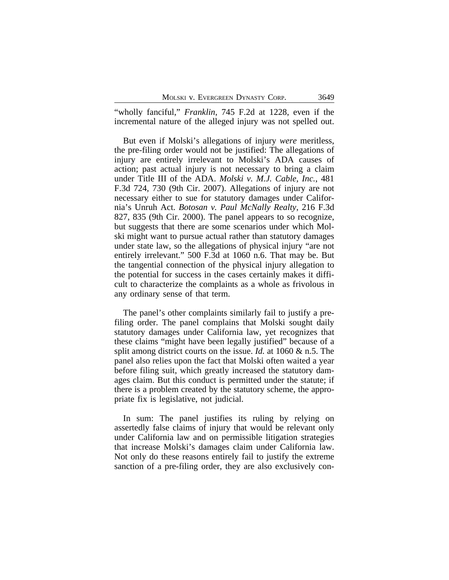"wholly fanciful," *Franklin*, 745 F.2d at 1228, even if the incremental nature of the alleged injury was not spelled out.

But even if Molski's allegations of injury *were* meritless, the pre-filing order would not be justified: The allegations of injury are entirely irrelevant to Molski's ADA causes of action; past actual injury is not necessary to bring a claim under Title III of the ADA. *Molski v. M.J. Cable, Inc.*, 481 F.3d 724, 730 (9th Cir. 2007). Allegations of injury are not necessary either to sue for statutory damages under California's Unruh Act. *Botosan v. Paul McNally Realty*, 216 F.3d 827, 835 (9th Cir. 2000). The panel appears to so recognize, but suggests that there are some scenarios under which Molski might want to pursue actual rather than statutory damages under state law, so the allegations of physical injury "are not entirely irrelevant." 500 F.3d at 1060 n.6. That may be. But the tangential connection of the physical injury allegation to the potential for success in the cases certainly makes it difficult to characterize the complaints as a whole as frivolous in any ordinary sense of that term.

The panel's other complaints similarly fail to justify a prefiling order. The panel complains that Molski sought daily statutory damages under California law, yet recognizes that these claims "might have been legally justified" because of a split among district courts on the issue. *Id.* at 1060 & n.5. The panel also relies upon the fact that Molski often waited a year before filing suit, which greatly increased the statutory damages claim. But this conduct is permitted under the statute; if there is a problem created by the statutory scheme, the appropriate fix is legislative, not judicial.

In sum: The panel justifies its ruling by relying on assertedly false claims of injury that would be relevant only under California law and on permissible litigation strategies that increase Molski's damages claim under California law. Not only do these reasons entirely fail to justify the extreme sanction of a pre-filing order, they are also exclusively con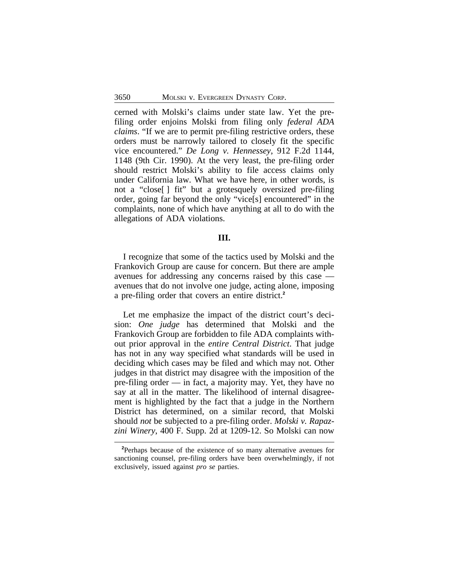cerned with Molski's claims under state law. Yet the prefiling order enjoins Molski from filing only *federal ADA claims*. "If we are to permit pre-filing restrictive orders, these orders must be narrowly tailored to closely fit the specific vice encountered." *De Long v. Hennessey*, 912 F.2d 1144, 1148 (9th Cir. 1990). At the very least, the pre-filing order should restrict Molski's ability to file access claims only under California law. What we have here, in other words, is not a "close[ ] fit" but a grotesquely oversized pre-filing order, going far beyond the only "vice[s] encountered" in the complaints, none of which have anything at all to do with the allegations of ADA violations.

## **III.**

I recognize that some of the tactics used by Molski and the Frankovich Group are cause for concern. But there are ample avenues for addressing any concerns raised by this case avenues that do not involve one judge, acting alone, imposing a pre-filing order that covers an entire district.**<sup>2</sup>**

Let me emphasize the impact of the district court's decision: *One judge* has determined that Molski and the Frankovich Group are forbidden to file ADA complaints without prior approval in the *entire Central District*. That judge has not in any way specified what standards will be used in deciding which cases may be filed and which may not. Other judges in that district may disagree with the imposition of the pre-filing order — in fact, a majority may. Yet, they have no say at all in the matter. The likelihood of internal disagreement is highlighted by the fact that a judge in the Northern District has determined, on a similar record, that Molski should *not* be subjected to a pre-filing order. *Molski v. Rapazzini Winery*, 400 F. Supp. 2d at 1209-12. So Molski can now

**<sup>2</sup>**Perhaps because of the existence of so many alternative avenues for sanctioning counsel, pre-filing orders have been overwhelmingly, if not exclusively, issued against *pro se* parties.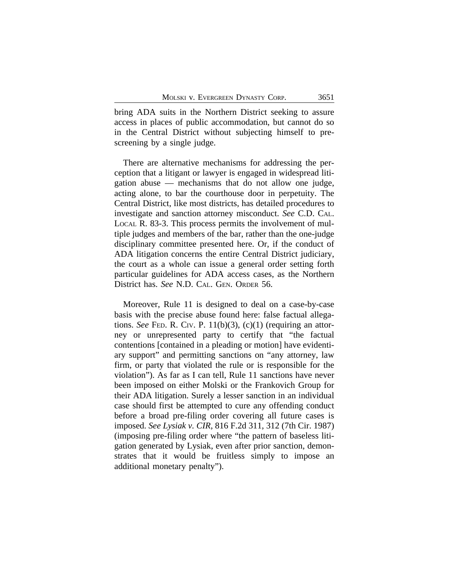bring ADA suits in the Northern District seeking to assure access in places of public accommodation, but cannot do so in the Central District without subjecting himself to prescreening by a single judge.

There are alternative mechanisms for addressing the perception that a litigant or lawyer is engaged in widespread litigation abuse — mechanisms that do not allow one judge, acting alone, to bar the courthouse door in perpetuity. The Central District, like most districts, has detailed procedures to investigate and sanction attorney misconduct. *See* C.D. CAL. LOCAL R. 83-3. This process permits the involvement of multiple judges and members of the bar, rather than the one-judge disciplinary committee presented here. Or, if the conduct of ADA litigation concerns the entire Central District judiciary, the court as a whole can issue a general order setting forth particular guidelines for ADA access cases, as the Northern District has. *See* N.D. CAL. GEN. ORDER 56.

Moreover, Rule 11 is designed to deal on a case-by-case basis with the precise abuse found here: false factual allegations. *See* FED. R. CIV. P.  $11(b)(3)$ ,  $(c)(1)$  (requiring an attorney or unrepresented party to certify that "the factual contentions [contained in a pleading or motion] have evidentiary support" and permitting sanctions on "any attorney, law firm, or party that violated the rule or is responsible for the violation"). As far as I can tell, Rule 11 sanctions have never been imposed on either Molski or the Frankovich Group for their ADA litigation. Surely a lesser sanction in an individual case should first be attempted to cure any offending conduct before a broad pre-filing order covering all future cases is imposed. *See Lysiak v. CIR*, 816 F.2d 311, 312 (7th Cir. 1987) (imposing pre-filing order where "the pattern of baseless litigation generated by Lysiak, even after prior sanction, demonstrates that it would be fruitless simply to impose an additional monetary penalty").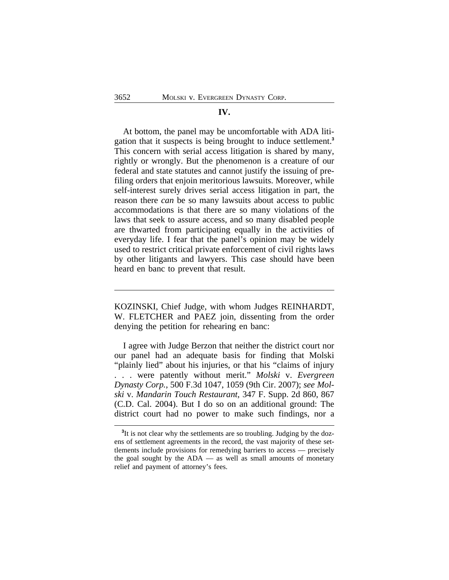### **IV.**

At bottom, the panel may be uncomfortable with ADA litigation that it suspects is being brought to induce settlement.**<sup>3</sup>** This concern with serial access litigation is shared by many, rightly or wrongly. But the phenomenon is a creature of our federal and state statutes and cannot justify the issuing of prefiling orders that enjoin meritorious lawsuits. Moreover, while self-interest surely drives serial access litigation in part, the reason there *can* be so many lawsuits about access to public accommodations is that there are so many violations of the laws that seek to assure access, and so many disabled people are thwarted from participating equally in the activities of everyday life. I fear that the panel's opinion may be widely used to restrict critical private enforcement of civil rights laws by other litigants and lawyers. This case should have been heard en banc to prevent that result.

KOZINSKI, Chief Judge, with whom Judges REINHARDT, W. FLETCHER and PAEZ join, dissenting from the order denying the petition for rehearing en banc:

I agree with Judge Berzon that neither the district court nor our panel had an adequate basis for finding that Molski "plainly lied" about his injuries, or that his "claims of injury . . . were patently without merit." *Molski* v. *Evergreen Dynasty Corp.*, 500 F.3d 1047, 1059 (9th Cir. 2007); *see Molski* v. *Mandarin Touch Restaurant*, 347 F. Supp. 2d 860, 867 (C.D. Cal. 2004). But I do so on an additional ground: The district court had no power to make such findings, nor a

<sup>&</sup>lt;sup>3</sup>It is not clear why the settlements are so troubling. Judging by the dozens of settlement agreements in the record, the vast majority of these settlements include provisions for remedying barriers to access — precisely the goal sought by the ADA — as well as small amounts of monetary relief and payment of attorney's fees.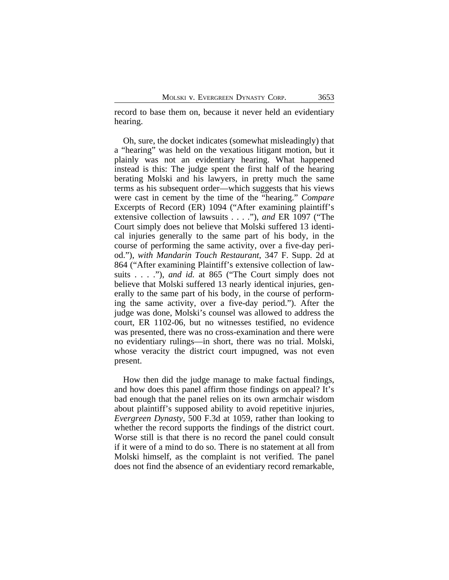record to base them on, because it never held an evidentiary hearing.

Oh, sure, the docket indicates (somewhat misleadingly) that a "hearing" was held on the vexatious litigant motion, but it plainly was not an evidentiary hearing. What happened instead is this: The judge spent the first half of the hearing berating Molski and his lawyers, in pretty much the same terms as his subsequent order—which suggests that his views were cast in cement by the time of the "hearing." *Compare* Excerpts of Record (ER) 1094 ("After examining plaintiff's extensive collection of lawsuits . . . ."), *and* ER 1097 ("The Court simply does not believe that Molski suffered 13 identical injuries generally to the same part of his body, in the course of performing the same activity, over a five-day period."), *with Mandarin Touch Restaurant*, 347 F. Supp. 2d at 864 ("After examining Plaintiff's extensive collection of lawsuits . . . ."), *and id.* at 865 ("The Court simply does not believe that Molski suffered 13 nearly identical injuries, generally to the same part of his body, in the course of performing the same activity, over a five-day period."). After the judge was done, Molski's counsel was allowed to address the court, ER 1102-06, but no witnesses testified, no evidence was presented, there was no cross-examination and there were no evidentiary rulings—in short, there was no trial. Molski, whose veracity the district court impugned, was not even present.

How then did the judge manage to make factual findings, and how does this panel affirm those findings on appeal? It's bad enough that the panel relies on its own armchair wisdom about plaintiff's supposed ability to avoid repetitive injuries, *Evergreen Dynasty*, 500 F.3d at 1059, rather than looking to whether the record supports the findings of the district court. Worse still is that there is no record the panel could consult if it were of a mind to do so. There is no statement at all from Molski himself, as the complaint is not verified. The panel does not find the absence of an evidentiary record remarkable,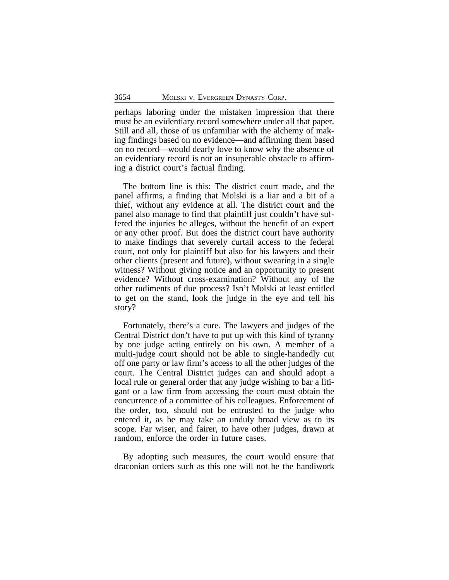perhaps laboring under the mistaken impression that there must be an evidentiary record somewhere under all that paper. Still and all, those of us unfamiliar with the alchemy of making findings based on no evidence—and affirming them based on no record—would dearly love to know why the absence of an evidentiary record is not an insuperable obstacle to affirming a district court's factual finding.

The bottom line is this: The district court made, and the panel affirms, a finding that Molski is a liar and a bit of a thief, without any evidence at all. The district court and the panel also manage to find that plaintiff just couldn't have suffered the injuries he alleges, without the benefit of an expert or any other proof. But does the district court have authority to make findings that severely curtail access to the federal court, not only for plaintiff but also for his lawyers and their other clients (present and future), without swearing in a single witness? Without giving notice and an opportunity to present evidence? Without cross-examination? Without any of the other rudiments of due process? Isn't Molski at least entitled to get on the stand, look the judge in the eye and tell his story?

Fortunately, there's a cure. The lawyers and judges of the Central District don't have to put up with this kind of tyranny by one judge acting entirely on his own. A member of a multi-judge court should not be able to single-handedly cut off one party or law firm's access to all the other judges of the court. The Central District judges can and should adopt a local rule or general order that any judge wishing to bar a litigant or a law firm from accessing the court must obtain the concurrence of a committee of his colleagues. Enforcement of the order, too, should not be entrusted to the judge who entered it, as he may take an unduly broad view as to its scope. Far wiser, and fairer, to have other judges, drawn at random, enforce the order in future cases.

By adopting such measures, the court would ensure that draconian orders such as this one will not be the handiwork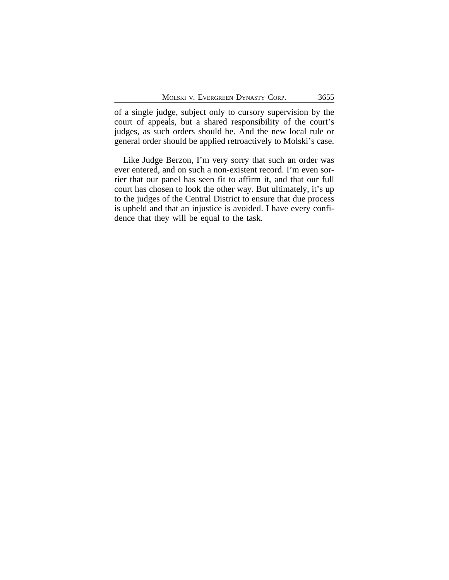of a single judge, subject only to cursory supervision by the court of appeals, but a shared responsibility of the court's judges, as such orders should be. And the new local rule or general order should be applied retroactively to Molski's case.

Like Judge Berzon, I'm very sorry that such an order was ever entered, and on such a non-existent record. I'm even sorrier that our panel has seen fit to affirm it, and that our full court has chosen to look the other way. But ultimately, it's up to the judges of the Central District to ensure that due process is upheld and that an injustice is avoided. I have every confidence that they will be equal to the task.